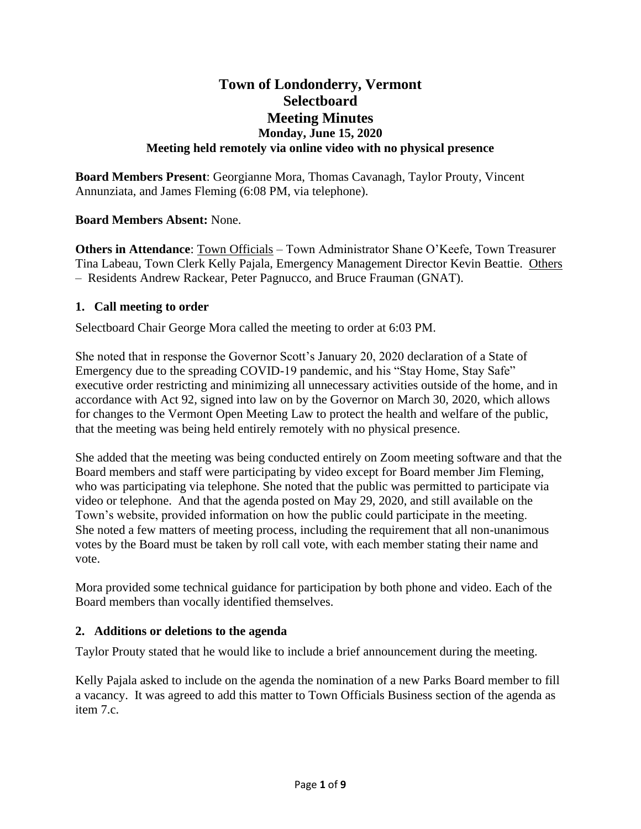# **Town of Londonderry, Vermont Selectboard Meeting Minutes Monday, June 15, 2020 Meeting held remotely via online video with no physical presence**

**Board Members Present**: Georgianne Mora, Thomas Cavanagh, Taylor Prouty, Vincent Annunziata, and James Fleming (6:08 PM, via telephone).

## **Board Members Absent:** None.

**Others in Attendance**: Town Officials – Town Administrator Shane O'Keefe, Town Treasurer Tina Labeau, Town Clerk Kelly Pajala, Emergency Management Director Kevin Beattie. Others – Residents Andrew Rackear, Peter Pagnucco, and Bruce Frauman (GNAT).

### **1. Call meeting to order**

Selectboard Chair George Mora called the meeting to order at 6:03 PM.

She noted that in response the Governor Scott's January 20, 2020 declaration of a State of Emergency due to the spreading COVID-19 pandemic, and his "Stay Home, Stay Safe" executive order restricting and minimizing all unnecessary activities outside of the home, and in accordance with Act 92, signed into law on by the Governor on March 30, 2020, which allows for changes to the Vermont Open Meeting Law to protect the health and welfare of the public, that the meeting was being held entirely remotely with no physical presence.

She added that the meeting was being conducted entirely on Zoom meeting software and that the Board members and staff were participating by video except for Board member Jim Fleming, who was participating via telephone. She noted that the public was permitted to participate via video or telephone. And that the agenda posted on May 29, 2020, and still available on the Town's website, provided information on how the public could participate in the meeting. She noted a few matters of meeting process, including the requirement that all non-unanimous votes by the Board must be taken by roll call vote, with each member stating their name and vote.

Mora provided some technical guidance for participation by both phone and video. Each of the Board members than vocally identified themselves.

#### **2. Additions or deletions to the agenda**

Taylor Prouty stated that he would like to include a brief announcement during the meeting.

Kelly Pajala asked to include on the agenda the nomination of a new Parks Board member to fill a vacancy. It was agreed to add this matter to Town Officials Business section of the agenda as item 7.c.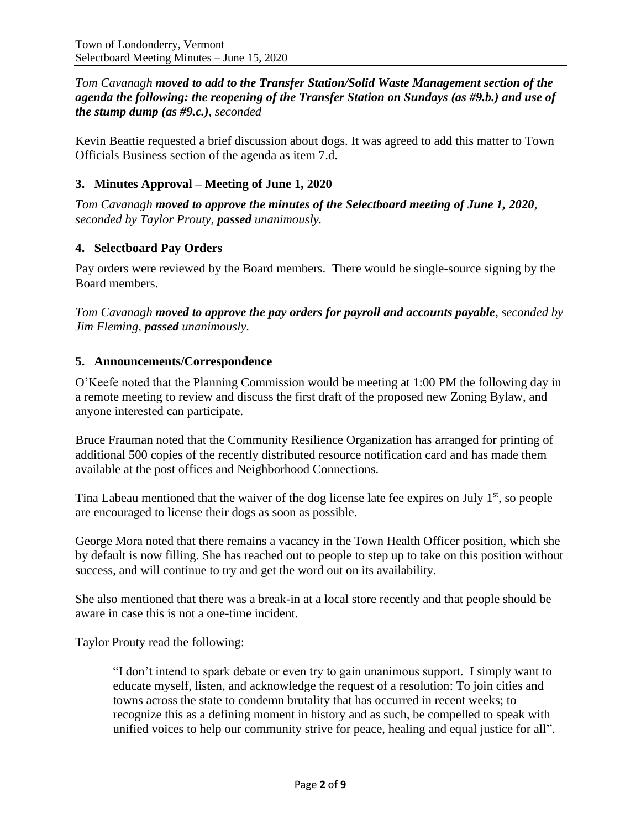*Tom Cavanagh moved to add to the Transfer Station/Solid Waste Management section of the agenda the following: the reopening of the Transfer Station on Sundays (as #9.b.) and use of the stump dump (as #9.c.), seconded*

Kevin Beattie requested a brief discussion about dogs. It was agreed to add this matter to Town Officials Business section of the agenda as item 7.d.

# **3. Minutes Approval – Meeting of June 1, 2020**

*Tom Cavanagh moved to approve the minutes of the Selectboard meeting of June 1, 2020, seconded by Taylor Prouty, passed unanimously.*

# **4. Selectboard Pay Orders**

Pay orders were reviewed by the Board members. There would be single-source signing by the Board members.

*Tom Cavanagh moved to approve the pay orders for payroll and accounts payable, seconded by Jim Fleming, passed unanimously.*

### **5. Announcements/Correspondence**

O'Keefe noted that the Planning Commission would be meeting at 1:00 PM the following day in a remote meeting to review and discuss the first draft of the proposed new Zoning Bylaw, and anyone interested can participate.

Bruce Frauman noted that the Community Resilience Organization has arranged for printing of additional 500 copies of the recently distributed resource notification card and has made them available at the post offices and Neighborhood Connections.

Tina Labeau mentioned that the waiver of the dog license late fee expires on July  $1<sup>st</sup>$ , so people are encouraged to license their dogs as soon as possible.

George Mora noted that there remains a vacancy in the Town Health Officer position, which she by default is now filling. She has reached out to people to step up to take on this position without success, and will continue to try and get the word out on its availability.

She also mentioned that there was a break-in at a local store recently and that people should be aware in case this is not a one-time incident.

Taylor Prouty read the following:

"I don't intend to spark debate or even try to gain unanimous support. I simply want to educate myself, listen, and acknowledge the request of a resolution: To join cities and towns across the state to condemn brutality that has occurred in recent weeks; to recognize this as a defining moment in history and as such, be compelled to speak with unified voices to help our community strive for peace, healing and equal justice for all".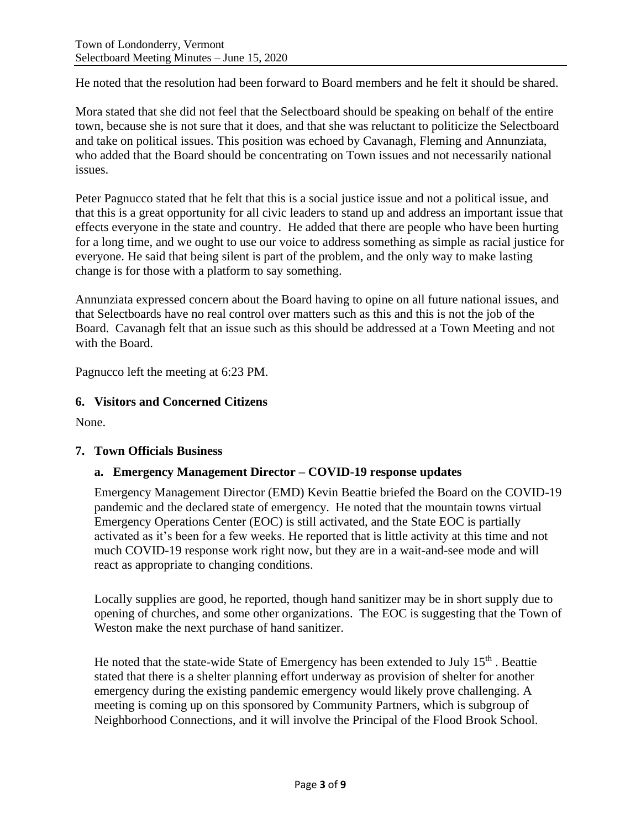He noted that the resolution had been forward to Board members and he felt it should be shared.

Mora stated that she did not feel that the Selectboard should be speaking on behalf of the entire town, because she is not sure that it does, and that she was reluctant to politicize the Selectboard and take on political issues. This position was echoed by Cavanagh, Fleming and Annunziata, who added that the Board should be concentrating on Town issues and not necessarily national issues.

Peter Pagnucco stated that he felt that this is a social justice issue and not a political issue, and that this is a great opportunity for all civic leaders to stand up and address an important issue that effects everyone in the state and country. He added that there are people who have been hurting for a long time, and we ought to use our voice to address something as simple as racial justice for everyone. He said that being silent is part of the problem, and the only way to make lasting change is for those with a platform to say something.

Annunziata expressed concern about the Board having to opine on all future national issues, and that Selectboards have no real control over matters such as this and this is not the job of the Board. Cavanagh felt that an issue such as this should be addressed at a Town Meeting and not with the Board.

Pagnucco left the meeting at 6:23 PM.

### **6. Visitors and Concerned Citizens**

None.

#### **7. Town Officials Business**

## **a. Emergency Management Director – COVID-19 response updates**

Emergency Management Director (EMD) Kevin Beattie briefed the Board on the COVID-19 pandemic and the declared state of emergency. He noted that the mountain towns virtual Emergency Operations Center (EOC) is still activated, and the State EOC is partially activated as it's been for a few weeks. He reported that is little activity at this time and not much COVID-19 response work right now, but they are in a wait-and-see mode and will react as appropriate to changing conditions.

Locally supplies are good, he reported, though hand sanitizer may be in short supply due to opening of churches, and some other organizations. The EOC is suggesting that the Town of Weston make the next purchase of hand sanitizer.

He noted that the state-wide State of Emergency has been extended to July 15<sup>th</sup>. Beattie stated that there is a shelter planning effort underway as provision of shelter for another emergency during the existing pandemic emergency would likely prove challenging. A meeting is coming up on this sponsored by Community Partners, which is subgroup of Neighborhood Connections, and it will involve the Principal of the Flood Brook School.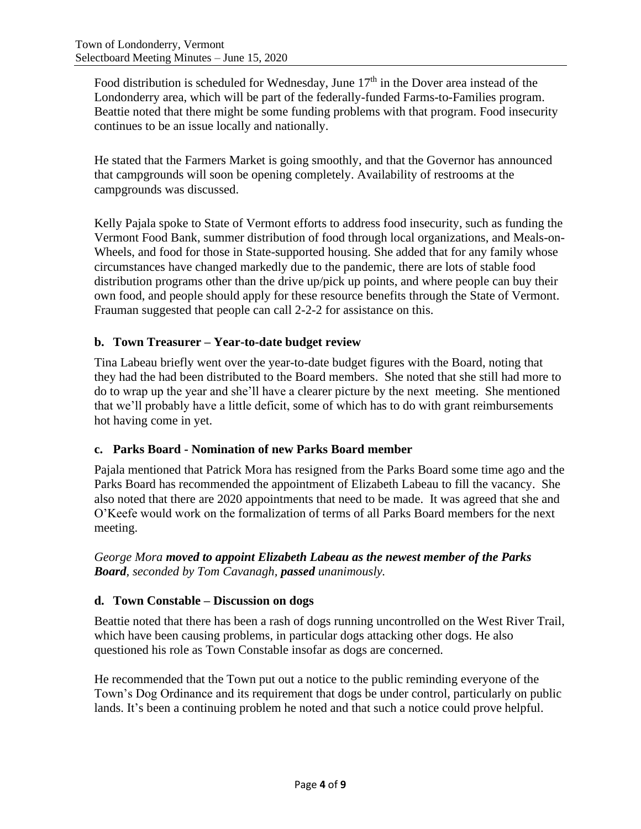Food distribution is scheduled for Wednesday, June  $17<sup>th</sup>$  in the Dover area instead of the Londonderry area, which will be part of the federally-funded Farms-to-Families program. Beattie noted that there might be some funding problems with that program. Food insecurity continues to be an issue locally and nationally.

He stated that the Farmers Market is going smoothly, and that the Governor has announced that campgrounds will soon be opening completely. Availability of restrooms at the campgrounds was discussed.

Kelly Pajala spoke to State of Vermont efforts to address food insecurity, such as funding the Vermont Food Bank, summer distribution of food through local organizations, and Meals-on-Wheels, and food for those in State-supported housing. She added that for any family whose circumstances have changed markedly due to the pandemic, there are lots of stable food distribution programs other than the drive up/pick up points, and where people can buy their own food, and people should apply for these resource benefits through the State of Vermont. Frauman suggested that people can call 2-2-2 for assistance on this.

# **b. Town Treasurer – Year-to-date budget review**

Tina Labeau briefly went over the year-to-date budget figures with the Board, noting that they had the had been distributed to the Board members. She noted that she still had more to do to wrap up the year and she'll have a clearer picture by the next meeting. She mentioned that we'll probably have a little deficit, some of which has to do with grant reimbursements hot having come in yet.

## **c. Parks Board - Nomination of new Parks Board member**

Pajala mentioned that Patrick Mora has resigned from the Parks Board some time ago and the Parks Board has recommended the appointment of Elizabeth Labeau to fill the vacancy. She also noted that there are 2020 appointments that need to be made. It was agreed that she and O'Keefe would work on the formalization of terms of all Parks Board members for the next meeting.

*George Mora moved to appoint Elizabeth Labeau as the newest member of the Parks Board, seconded by Tom Cavanagh, passed unanimously.*

## **d. Town Constable – Discussion on dogs**

Beattie noted that there has been a rash of dogs running uncontrolled on the West River Trail, which have been causing problems, in particular dogs attacking other dogs. He also questioned his role as Town Constable insofar as dogs are concerned.

He recommended that the Town put out a notice to the public reminding everyone of the Town's Dog Ordinance and its requirement that dogs be under control, particularly on public lands. It's been a continuing problem he noted and that such a notice could prove helpful.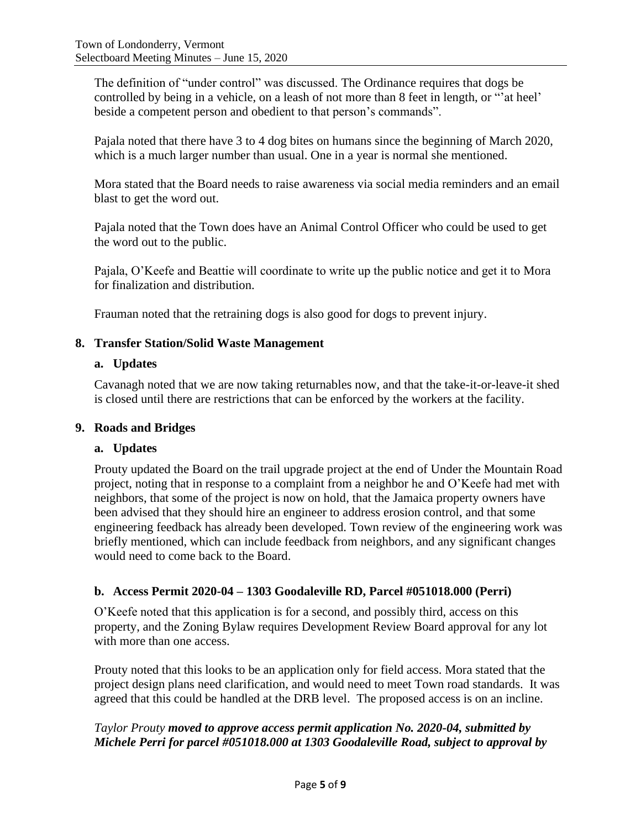The definition of "under control" was discussed. The Ordinance requires that dogs be controlled by being in a vehicle, on a leash of not more than 8 feet in length, or "'at heel' beside a competent person and obedient to that person's commands".

Pajala noted that there have 3 to 4 dog bites on humans since the beginning of March 2020, which is a much larger number than usual. One in a year is normal she mentioned.

Mora stated that the Board needs to raise awareness via social media reminders and an email blast to get the word out.

Pajala noted that the Town does have an Animal Control Officer who could be used to get the word out to the public.

Pajala, O'Keefe and Beattie will coordinate to write up the public notice and get it to Mora for finalization and distribution.

Frauman noted that the retraining dogs is also good for dogs to prevent injury.

### **8. Transfer Station/Solid Waste Management**

#### **a. Updates**

Cavanagh noted that we are now taking returnables now, and that the take-it-or-leave-it shed is closed until there are restrictions that can be enforced by the workers at the facility.

#### **9. Roads and Bridges**

## **a. Updates**

Prouty updated the Board on the trail upgrade project at the end of Under the Mountain Road project, noting that in response to a complaint from a neighbor he and O'Keefe had met with neighbors, that some of the project is now on hold, that the Jamaica property owners have been advised that they should hire an engineer to address erosion control, and that some engineering feedback has already been developed. Town review of the engineering work was briefly mentioned, which can include feedback from neighbors, and any significant changes would need to come back to the Board.

## **b. Access Permit 2020-04 – 1303 Goodaleville RD, Parcel #051018.000 (Perri)**

O'Keefe noted that this application is for a second, and possibly third, access on this property, and the Zoning Bylaw requires Development Review Board approval for any lot with more than one access.

Prouty noted that this looks to be an application only for field access. Mora stated that the project design plans need clarification, and would need to meet Town road standards. It was agreed that this could be handled at the DRB level. The proposed access is on an incline.

# *Taylor Prouty moved to approve access permit application No. 2020-04, submitted by Michele Perri for parcel #051018.000 at 1303 Goodaleville Road, subject to approval by*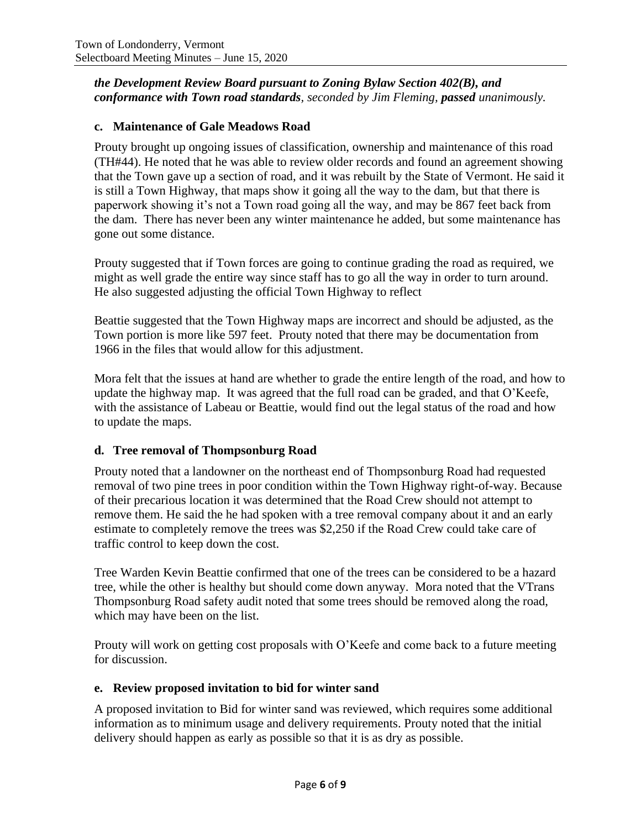*the Development Review Board pursuant to Zoning Bylaw Section 402(B), and conformance with Town road standards, seconded by Jim Fleming, passed unanimously.*

### **c. Maintenance of Gale Meadows Road**

Prouty brought up ongoing issues of classification, ownership and maintenance of this road (TH#44). He noted that he was able to review older records and found an agreement showing that the Town gave up a section of road, and it was rebuilt by the State of Vermont. He said it is still a Town Highway, that maps show it going all the way to the dam, but that there is paperwork showing it's not a Town road going all the way, and may be 867 feet back from the dam. There has never been any winter maintenance he added, but some maintenance has gone out some distance.

Prouty suggested that if Town forces are going to continue grading the road as required, we might as well grade the entire way since staff has to go all the way in order to turn around. He also suggested adjusting the official Town Highway to reflect

Beattie suggested that the Town Highway maps are incorrect and should be adjusted, as the Town portion is more like 597 feet. Prouty noted that there may be documentation from 1966 in the files that would allow for this adjustment.

Mora felt that the issues at hand are whether to grade the entire length of the road, and how to update the highway map. It was agreed that the full road can be graded, and that O'Keefe, with the assistance of Labeau or Beattie, would find out the legal status of the road and how to update the maps.

## **d. Tree removal of Thompsonburg Road**

Prouty noted that a landowner on the northeast end of Thompsonburg Road had requested removal of two pine trees in poor condition within the Town Highway right-of-way. Because of their precarious location it was determined that the Road Crew should not attempt to remove them. He said the he had spoken with a tree removal company about it and an early estimate to completely remove the trees was \$2,250 if the Road Crew could take care of traffic control to keep down the cost.

Tree Warden Kevin Beattie confirmed that one of the trees can be considered to be a hazard tree, while the other is healthy but should come down anyway. Mora noted that the VTrans Thompsonburg Road safety audit noted that some trees should be removed along the road, which may have been on the list.

Prouty will work on getting cost proposals with O'Keefe and come back to a future meeting for discussion.

#### **e. Review proposed invitation to bid for winter sand**

A proposed invitation to Bid for winter sand was reviewed, which requires some additional information as to minimum usage and delivery requirements. Prouty noted that the initial delivery should happen as early as possible so that it is as dry as possible.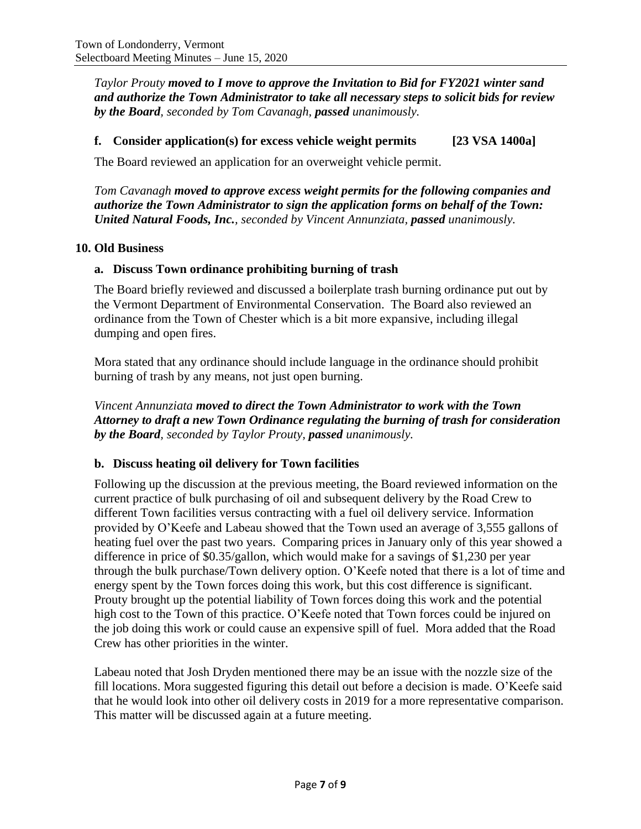*Taylor Prouty moved to I move to approve the Invitation to Bid for FY2021 winter sand and authorize the Town Administrator to take all necessary steps to solicit bids for review by the Board, seconded by Tom Cavanagh, passed unanimously.*

## **f. Consider application(s) for excess vehicle weight permits [23 VSA 1400a]**

The Board reviewed an application for an overweight vehicle permit.

*Tom Cavanagh moved to approve excess weight permits for the following companies and authorize the Town Administrator to sign the application forms on behalf of the Town: United Natural Foods, Inc., seconded by Vincent Annunziata, passed unanimously.*

## **10. Old Business**

# **a. Discuss Town ordinance prohibiting burning of trash**

The Board briefly reviewed and discussed a boilerplate trash burning ordinance put out by the Vermont Department of Environmental Conservation. The Board also reviewed an ordinance from the Town of Chester which is a bit more expansive, including illegal dumping and open fires.

Mora stated that any ordinance should include language in the ordinance should prohibit burning of trash by any means, not just open burning.

*Vincent Annunziata moved to direct the Town Administrator to work with the Town Attorney to draft a new Town Ordinance regulating the burning of trash for consideration by the Board, seconded by Taylor Prouty, passed unanimously.*

## **b. Discuss heating oil delivery for Town facilities**

Following up the discussion at the previous meeting, the Board reviewed information on the current practice of bulk purchasing of oil and subsequent delivery by the Road Crew to different Town facilities versus contracting with a fuel oil delivery service. Information provided by O'Keefe and Labeau showed that the Town used an average of 3,555 gallons of heating fuel over the past two years. Comparing prices in January only of this year showed a difference in price of \$0.35/gallon, which would make for a savings of \$1,230 per year through the bulk purchase/Town delivery option. O'Keefe noted that there is a lot of time and energy spent by the Town forces doing this work, but this cost difference is significant. Prouty brought up the potential liability of Town forces doing this work and the potential high cost to the Town of this practice. O'Keefe noted that Town forces could be injured on the job doing this work or could cause an expensive spill of fuel. Mora added that the Road Crew has other priorities in the winter.

Labeau noted that Josh Dryden mentioned there may be an issue with the nozzle size of the fill locations. Mora suggested figuring this detail out before a decision is made. O'Keefe said that he would look into other oil delivery costs in 2019 for a more representative comparison. This matter will be discussed again at a future meeting.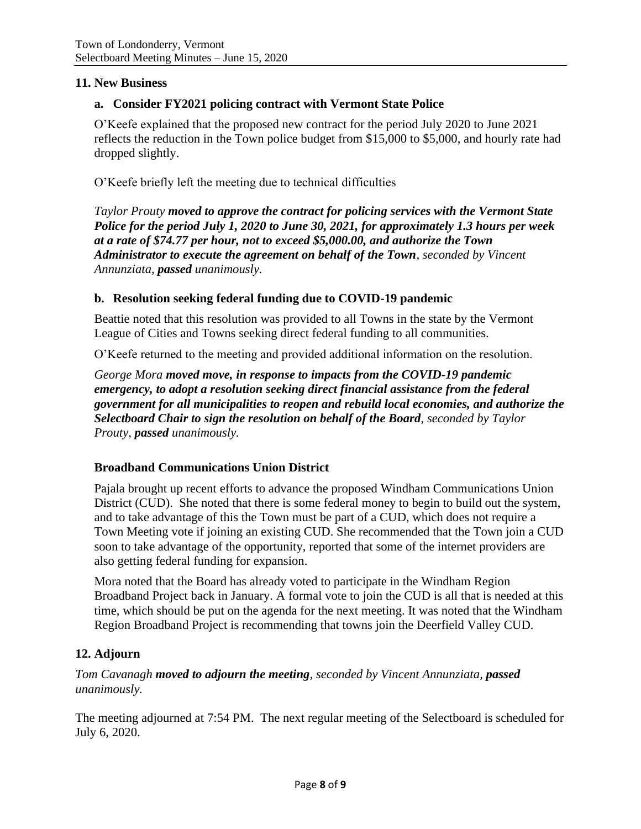### **11. New Business**

#### **a. Consider FY2021 policing contract with Vermont State Police**

O'Keefe explained that the proposed new contract for the period July 2020 to June 2021 reflects the reduction in the Town police budget from \$15,000 to \$5,000, and hourly rate had dropped slightly.

O'Keefe briefly left the meeting due to technical difficulties

*Taylor Prouty moved to approve the contract for policing services with the Vermont State Police for the period July 1, 2020 to June 30, 2021, for approximately 1.3 hours per week at a rate of \$74.77 per hour, not to exceed \$5,000.00, and authorize the Town Administrator to execute the agreement on behalf of the Town, seconded by Vincent Annunziata, passed unanimously.*

#### **b. Resolution seeking federal funding due to COVID-19 pandemic**

Beattie noted that this resolution was provided to all Towns in the state by the Vermont League of Cities and Towns seeking direct federal funding to all communities.

O'Keefe returned to the meeting and provided additional information on the resolution.

*George Mora moved move, in response to impacts from the COVID-19 pandemic emergency, to adopt a resolution seeking direct financial assistance from the federal government for all municipalities to reopen and rebuild local economies, and authorize the Selectboard Chair to sign the resolution on behalf of the Board, seconded by Taylor Prouty, passed unanimously.*

#### **Broadband Communications Union District**

Pajala brought up recent efforts to advance the proposed Windham Communications Union District (CUD). She noted that there is some federal money to begin to build out the system, and to take advantage of this the Town must be part of a CUD, which does not require a Town Meeting vote if joining an existing CUD. She recommended that the Town join a CUD soon to take advantage of the opportunity, reported that some of the internet providers are also getting federal funding for expansion.

Mora noted that the Board has already voted to participate in the Windham Region Broadband Project back in January. A formal vote to join the CUD is all that is needed at this time, which should be put on the agenda for the next meeting. It was noted that the Windham Region Broadband Project is recommending that towns join the Deerfield Valley CUD.

## **12. Adjourn**

## *Tom Cavanagh moved to adjourn the meeting, seconded by Vincent Annunziata, passed unanimously.*

The meeting adjourned at 7:54 PM. The next regular meeting of the Selectboard is scheduled for July 6, 2020.